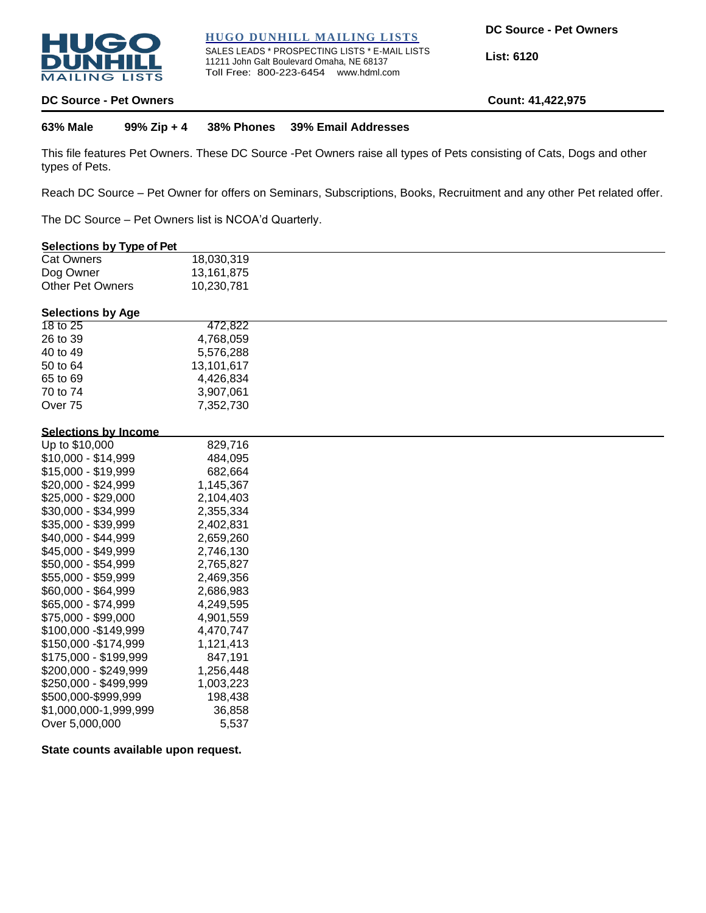

## **HUGO DUNHILL MAILING LISTS**

SALES LEADS \* PROSPECTING LISTS \* E-MAIL LISTS 11211 John Galt Boulevard Omaha, NE 68137 Toll Free: 800-223-6454 www.hdml.com

**List: 6120**

### **DC Source - Pet Owners Count: 41,422,975**

**63% Male 99% Zip + 4 38% Phones 39% Email Addresses**

This file features Pet Owners. These DC Source -Pet Owners raise all types of Pets consisting of Cats, Dogs and other types of Pets.

Reach DC Source – Pet Owner for offers on Seminars, Subscriptions, Books, Recruitment and any other Pet related offer.

The DC Source – Pet Owners list is NCOA'd Quarterly.

# **Selections by Type of Pet**

| <b>Cat Owners</b> | 18,030,319 |
|-------------------|------------|
| Dog Owner         | 13,161,875 |
| Other Pet Owners  | 10,230,781 |

# **Selections by Age**

| 18 to 25           | 472.822    |
|--------------------|------------|
| 26 to 39           | 4,768,059  |
| 40 to 49           | 5,576,288  |
| 50 to 64           | 13,101,617 |
| 65 to 69           | 4,426,834  |
| 70 to 74           | 3,907,061  |
| Over <sub>75</sub> | 7,352,730  |
|                    |            |

#### **Selections by Income**

| Up to \$10,000        | 829,716   |
|-----------------------|-----------|
| \$10,000 - \$14,999   | 484,095   |
| \$15,000 - \$19,999   | 682,664   |
| \$20,000 - \$24,999   | 1,145,367 |
| \$25,000 - \$29,000   | 2,104,403 |
| \$30,000 - \$34,999   | 2,355,334 |
| \$35,000 - \$39,999   | 2,402,831 |
| \$40,000 - \$44,999   | 2,659,260 |
| \$45,000 - \$49,999   | 2,746,130 |
| \$50,000 - \$54,999   | 2,765,827 |
| \$55,000 - \$59,999   | 2,469,356 |
| \$60,000 - \$64,999   | 2,686,983 |
| \$65,000 - \$74,999   | 4,249,595 |
| \$75,000 - \$99,000   | 4,901,559 |
| \$100,000 -\$149,999  | 4,470,747 |
| \$150,000 - \$174,999 | 1,121,413 |
| \$175,000 - \$199,999 | 847,191   |
| \$200,000 - \$249,999 | 1,256,448 |
| \$250,000 - \$499,999 | 1,003,223 |
| \$500,000-\$999,999   | 198,438   |
| \$1,000,000-1,999,999 | 36,858    |
| Over 5,000,000        | 5,537     |

# **State counts available upon request.**